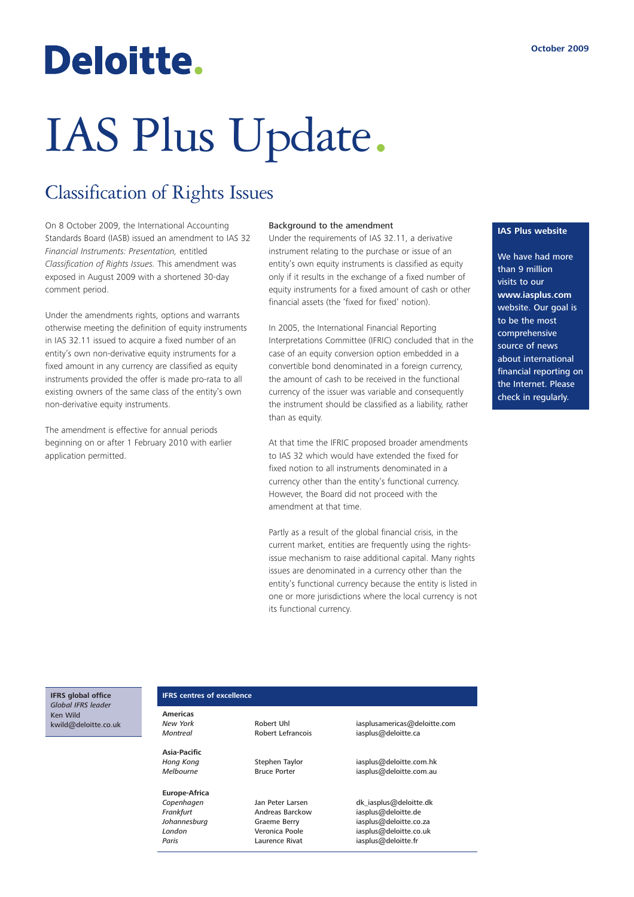## Deloitte.

# IAS Plus Update.

## Classification of Rights Issues

On 8 October 2009, the International Accounting Standards Board (IASB) issued an amendment to IAS 32 *Financial Instruments: Presentation,* entitled *Classification of Rights Issues.* This amendment was exposed in August 2009 with a shortened 30-day comment period.

Under the amendments rights, options and warrants otherwise meeting the definition of equity instruments in IAS 32.11 issued to acquire a fixed number of an entity's own non-derivative equity instruments for a fixed amount in any currency are classified as equity instruments provided the offer is made pro-rata to all existing owners of the same class of the entity's own non-derivative equity instruments.

The amendment is effective for annual periods beginning on or after 1 February 2010 with earlier application permitted.

#### Background to the amendment

Under the requirements of IAS 32.11, a derivative instrument relating to the purchase or issue of an entity's own equity instruments is classified as equity only if it results in the exchange of a fixed number of equity instruments for a fixed amount of cash or other financial assets (the 'fixed for fixed' notion).

In 2005, the International Financial Reporting Interpretations Committee (IFRIC) concluded that in the case of an equity conversion option embedded in a convertible bond denominated in a foreign currency, the amount of cash to be received in the functional currency of the issuer was variable and consequently the instrument should be classified as a liability, rather than as equity.

At that time the IFRIC proposed broader amendments to IAS 32 which would have extended the fixed for fixed notion to all instruments denominated in a currency other than the entity's functional currency. However, the Board did not proceed with the amendment at that time.

Partly as a result of the global financial crisis, in the current market, entities are frequently using the rightsissue mechanism to raise additional capital. Many rights issues are denominated in a currency other than the entity's functional currency because the entity is listed in one or more jurisdictions where the local currency is not its functional currency.

#### **IAS Plus website**

We have had more than 9 million visits to our website. Our goal is to be the most comprehensive source of news about international financial reporting on the Internet. Please check in regularly.

**IFRS global office** *Global IFRS leader* Ken Wild kwild@deloitte.co.uk

#### **IFRS centres of excellence**

Americas **New York** 

Asia-Pacific **Hong Kong** 

## **Europe-Africa**

*New York* Robert Uhl iasplusamericas@deloitte.com iasplus@deloitte.ca

*Hong Kong* Stephen Taylor iasplus@deloitte.com.hk *Melbourne* Bruce Porter iasplus@deloitte.com.au

Jan Peter Larsen dk iasplus@deloitte.dk **Frankfurt Andreas Barckow** iasplus@deloitte.de<br> *Andreas Berry* iasplus@deloitte.co. **Johannesburg Graeme Berry Fragget Library State and Library State Communist Communist Communist Communist Communist Communist Communist Communist Communist Communist Communist Communist Communist Communist Communist Commu** iasplus@deloitte.co.uk Paris **Paris** Laurence Rivat iasplus@deloitte.fr